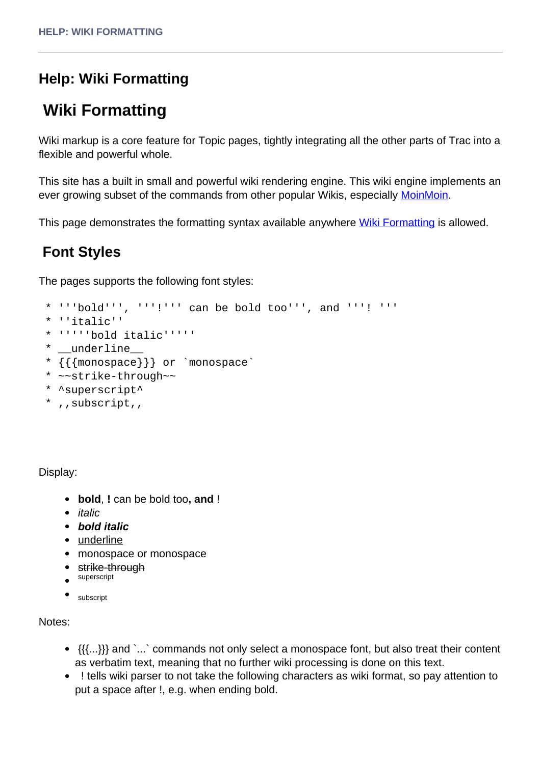## **Help: Wiki Formatting**

# **Wiki Formatting**

Wiki markup is a core feature for Topic pages, tightly integrating all the other parts of Trac into a flexible and powerful whole.

This site has a built in small and powerful wiki rendering engine. This wiki engine implements an ever growing subset of the commands from other popular Wikis, especially [MoinMoin](http://moinmoin.wikiwikiweb.de/).

This page demonstrates the formatting syntax available anywhere [Wiki Formatting](/groups/deep_earth/wiki/Help:WikiFormatting) is allowed.

## **Font Styles**

The pages supports the following font styles:

```
 * '''bold''', '''!''' can be bold too''', and '''! '''
 * ''italic''
 * '''''bold italic'''''
 * __underline__
 * {{{monospace}}} or `monospace`
 * ~~strike-through~~
 * ^superscript^ 
 * ,,subscript,,
```
Display:

- **bold**, **!** can be bold too**, and** !
- $\bullet$  *italic*
- **bold italic**
- underline
- monospace or monospace
- strike-through
- superscript
- subscript

Notes:

- $\{ {\{\ldots\}\}}$  and `...` commands not only select a monospace font, but also treat their content as verbatim text, meaning that no further wiki processing is done on this text.
- ! tells wiki parser to not take the following characters as wiki format, so pay attention to put a space after !, e.g. when ending bold.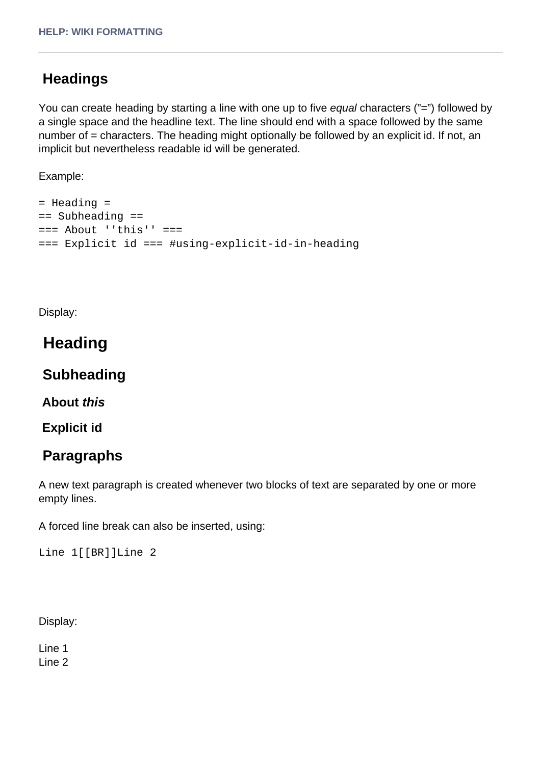## **Headings**

You can create heading by starting a line with one up to five equal characters ("=") followed by a single space and the headline text. The line should end with a space followed by the same number of  $=$  characters. The heading might optionally be followed by an explicit id. If not, an implicit but nevertheless readable id will be generated.

Example:

```
= Heading =
== Subheading ==
=== About ''this'' ===
=== Explicit id === #using-explicit-id-in-heading
```
Display:

# **Heading**

 **Subheading** 

 **About this**

 **Explicit id** 

## **Paragraphs**

A new text paragraph is created whenever two blocks of text are separated by one or more empty lines.

A forced line break can also be inserted, using:

Line 1[[BR]]Line 2

Display:

Line 1 Line 2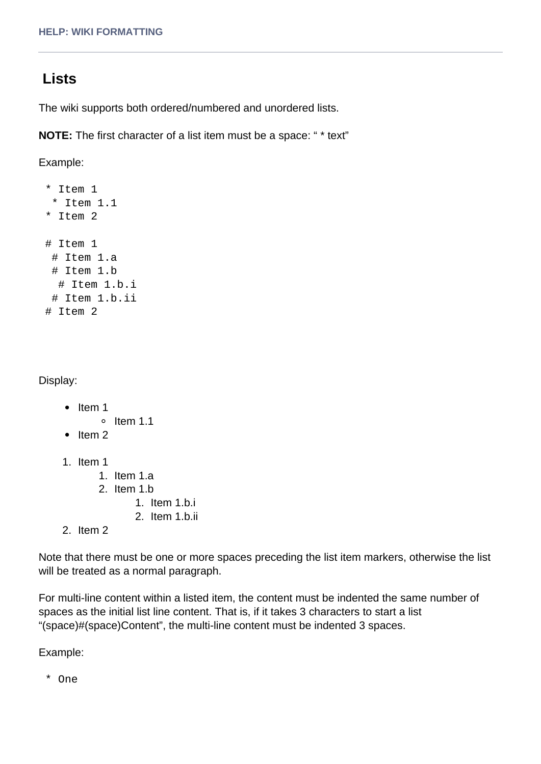### **Lists**

The wiki supports both ordered/numbered and unordered lists.

**NOTE:** The first character of a list item must be a space: " \* text"

Example:

```
 * Item 1
  * Item 1.1
 * Item 2
 # Item 1
  # Item 1.a
  # Item 1.b
   # Item 1.b.i
  # Item 1.b.ii
 # Item 2
```
Display:

- $\bullet$  Item 1
	- $\circ$  Item 1.1
- $\bullet$  Item 2
- 1. Item 1
	- 1. Item 1.a
	- 2. Item 1.b
		- 1. Item 1.b.i
			- 2. Item 1.b.ii
- 2. Item 2

Note that there must be one or more spaces preceding the list item markers, otherwise the list will be treated as a normal paragraph.

For multi-line content within a listed item, the content must be indented the same number of spaces as the initial list line content. That is, if it takes 3 characters to start a list "(space)#(space)Content", the multi-line content must be indented 3 spaces.

Example:

\* One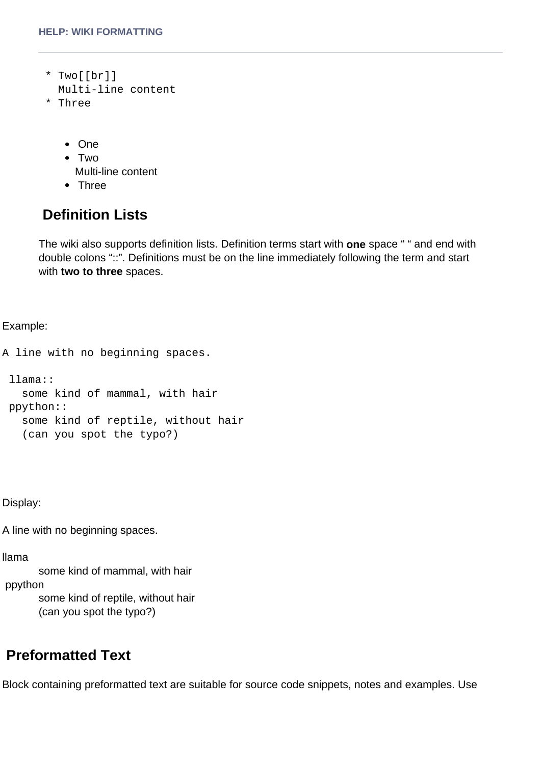```
 * Two[[br]]
  Multi-line content
```
- \* Three
	- One
	- Two

Multi-line content

• Three

### **Definition Lists**

The wiki also supports definition lists. Definition terms start with **one** space " " and end with double colons "::". Definitions must be on the line immediately following the term and start with **two to three** spaces.

#### Example:

```
A line with no beginning spaces.
  llama::
```

```
 some kind of mammal, with hair
 ppython::
   some kind of reptile, without hair
   (can you spot the typo?)
```
Display:

A line with no beginning spaces.

llama

some kind of mammal, with hair ppython

some kind of reptile, without hair (can you spot the typo?)

### **Preformatted Text**

Block containing preformatted text are suitable for source code snippets, notes and examples. Use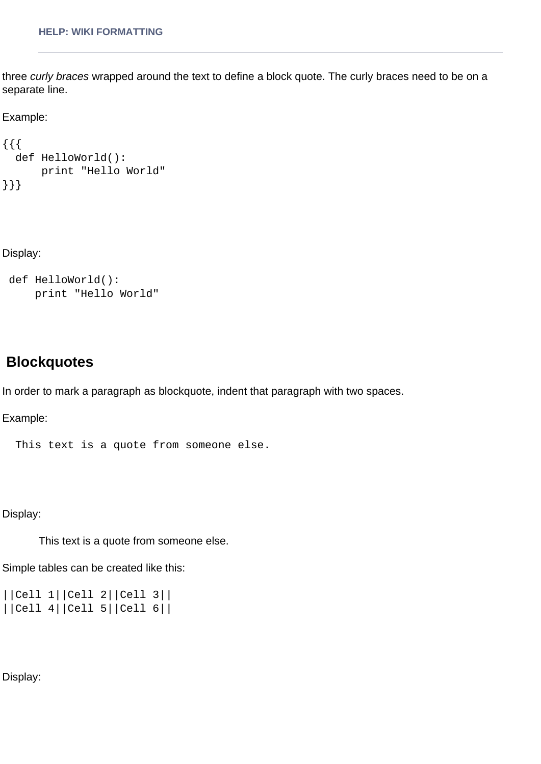three curly braces wrapped around the text to define a block quote. The curly braces need to be on a separate line.

Example:

```
{{{
   def HelloWorld():
       print "Hello World"
}}}
```
Display:

```
 def HelloWorld():
     print "Hello World"
```
### **Blockquotes**

In order to mark a paragraph as blockquote, indent that paragraph with two spaces.

Example:

```
 This text is a quote from someone else.
```
Display:

This text is a quote from someone else.

Simple tables can be created like this:

```
||Cell 1||Cell 2||Cell 3||
||Cell 4||Cell 5||Cell 6||
```
Display: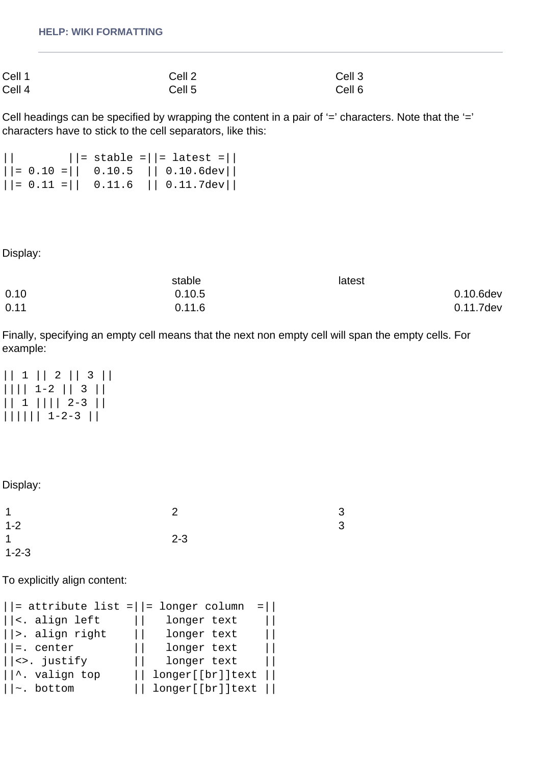| Cell 1 | Cell <sub>2</sub> | Cell <sub>3</sub> |
|--------|-------------------|-------------------|
| Cell 4 | Cell 5            | Cell <sub>6</sub> |

Cell headings can be specified by wrapping the content in a pair of  $=$ ' characters. Note that the  $=$ ' characters have to stick to the cell separators, like this:

|| ||= stable =||= latest =||  $|| = 0.10 = || 0.10.5 || 0.10.6 \text{dev}||$  $|| = 0.11 = || 0.11.6 || 0.11.7$ dev

Display:

|      | stable | latest |           |
|------|--------|--------|-----------|
| 0.10 | 0.10.5 |        | 0.10.6dev |
| 0.11 | 0.11.6 |        | 0.11.7dev |

Finally, specifying an empty cell means that the next non empty cell will span the empty cells. For example:

|  | 1    2    3              |  |
|--|--------------------------|--|
|  | $    $ 1 - 2 $  $ 3 $  $ |  |
|  | $   1          2-3   $   |  |
|  | $        $ 1-2-3         |  |

Display:

| $\overline{1}$ |         | 3 |
|----------------|---------|---|
| $1 - 2$        |         | 3 |
| $\overline{1}$ | $2 - 3$ |   |
| $1 - 2 - 3$    |         |   |

To explicitly align content:

```
||\cdot|| = attribute list =||\cdot|| = longer column =||\cdot||||<. align left || longer text ||
||>. align right || longer text ||
||=. center || longer text ||
||<>. justify || longer text ||
||^. valign top || longer[[br]]text ||
||~. bottom || longer[[br]]text ||
```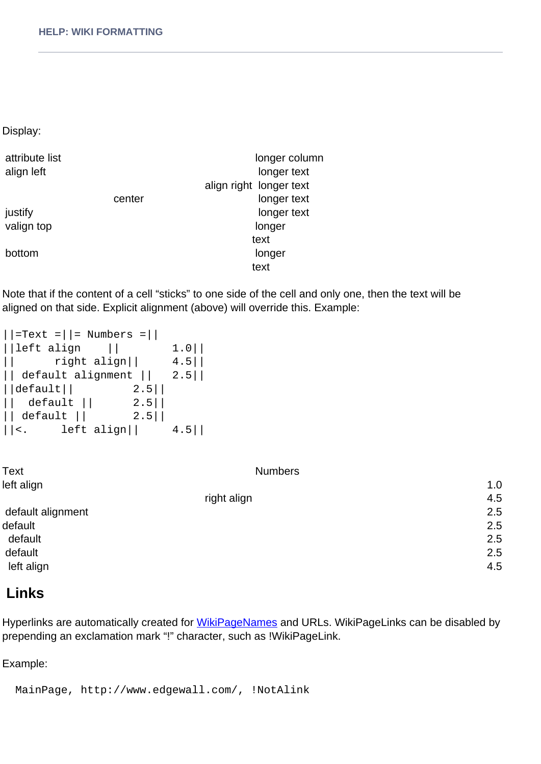Display:

| attribute list<br>align left |        | longer column<br>longer text |
|------------------------------|--------|------------------------------|
|                              |        | align right longer text      |
|                              | center | longer text                  |
| justify                      |        | longer text                  |
| valign top                   |        | longer                       |
|                              |        | text                         |
| bottom                       |        | longer                       |
|                              |        | text                         |

Note that if the content of a cell "sticks" to one side of the cell and only one, then the text will be aligned on that side. Explicit alignment (above) will override this. Example:

```
|| =Text = || = Numbers = ||||left align || 1.0||
|| right align|| 4.5||
|| default alignment || 2.5||
||default|| 2.5||
|| default || 2.5||
|| default || 2.5||
||\cdot. left align|| 4.5||
```

| <b>Numbers</b>     |
|--------------------|
| 1.0                |
| 4.5<br>right align |
| 2.5                |
| 2.5                |
| 2.5                |
| 2.5                |
| 4.5                |
|                    |

### **Links**

Hyperlinks are automatically created for [WikiPageNames](/wiki/WikiPageNames) and URLs. WikiPageLinks can be disabled by prepending an exclamation mark "!" character, such as !WikiPageLink.

Example:

MainPage, http://www.edgewall.com/, !NotAlink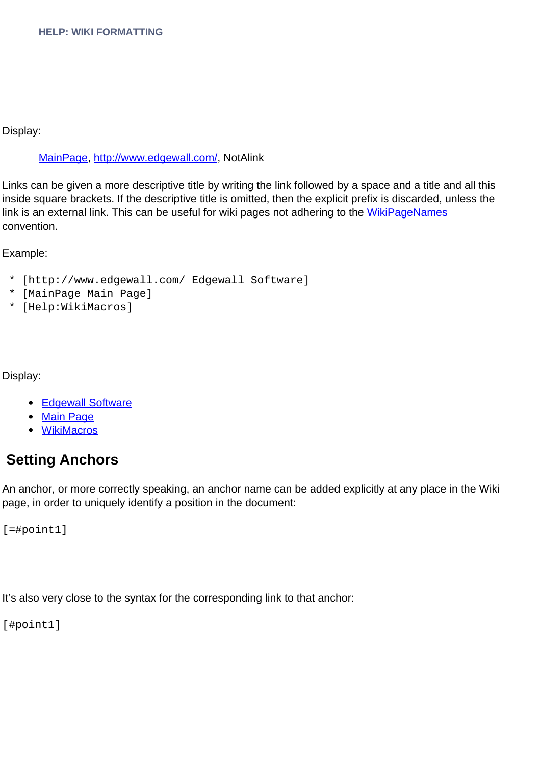Display:

#### [MainPage,](/groups/deep_earth/wiki/MainPage)<http://www.edgewall.com/>, NotAlink

Links can be given a more descriptive title by writing the link followed by a space and a title and all this inside square brackets. If the descriptive title is omitted, then the explicit prefix is discarded, unless the link is an external link. This can be useful for wiki pages not adhering to the [WikiPageNames](/wiki/WikiPageNames) convention.

Example:

- \* [http://www.edgewall.com/ Edgewall Software]
- \* [MainPage Main Page]
- \* [Help:WikiMacros]

Display:

- [Edgewall Software](http://www.edgewall.com/)
- [Main Page](/groups/deep_earth/wiki/MainPage)
- [WikiMacros](/groups/deep_earth/wiki/Help:WikiMacros)

### **Setting Anchors**

An anchor, or more correctly speaking, an anchor name can be added explicitly at any place in the Wiki page, in order to uniquely identify a position in the document:

[=#point1]

It's also very close to the syntax for the corresponding link to that anchor:

[#point1]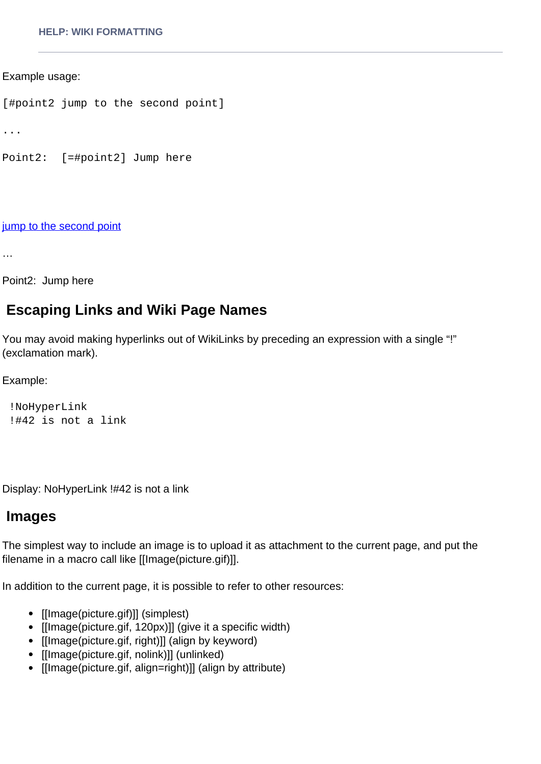Example usage:

```
[#point2 jump to the second point]
...
Point2: [=#point2] Jump here
```
jump to the second point

…

Point2: Jump here

### **Escaping Links and Wiki Page Names**

You may avoid making hyperlinks out of WikiLinks by preceding an expression with a single "!" (exclamation mark).

Example:

```
 !NoHyperLink
 !#42 is not a link
```
Display: NoHyperLink !#42 is not a link

#### **Images**

The simplest way to include an image is to upload it as attachment to the current page, and put the filename in a macro call like [[Image(picture.gif)]].

In addition to the current page, it is possible to refer to other resources:

- [[Image(picture.gif)]] (simplest)
- [[Image(picture.gif, 120px)]] (give it a specific width)
- [[Image(picture.gif, right)]] (align by keyword)
- [[Image(picture.gif, nolink)]] (unlinked)
- [[Image(picture.gif, align=right)]] (align by attribute)